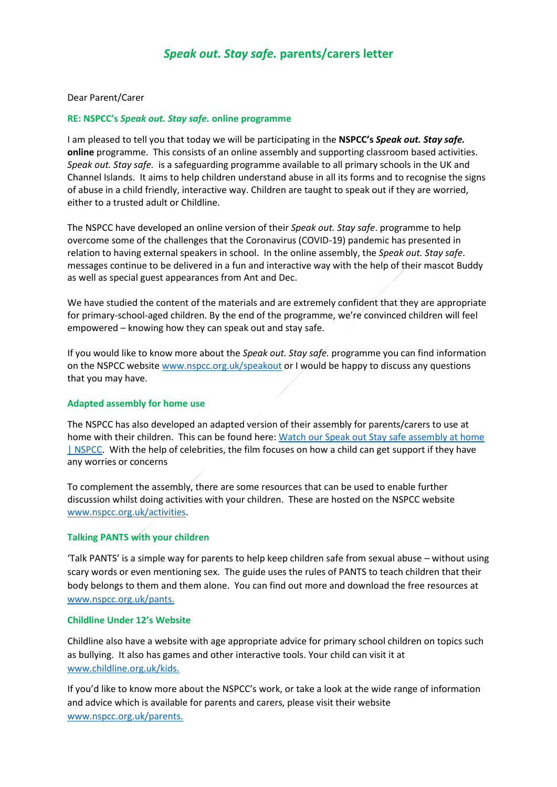# *Speak out. Stay safe.* **parents/carers letter**

#### Dear Parent/Carer

#### **RE: NSPCC's** *Speak out. Stay safe.* **online programme**

I am pleased to tell you that today we will be participating in the **NSPCC's** *Speak out. Stay safe.* **online** programme. This consists of an online assembly and supporting classroom based activities. *Speak out. Stay safe.* is a safeguarding programme available to all primary schools in the UK and Channel Islands. It aims to help children understand abuse in all its forms and to recognise the signs of abuse in a child friendly, interactive way. Children are taught to speak out if they are worried, either to a trusted adult or Childline.

The NSPCC have developed an online version of their *Speak out. Stay safe*. programme to help overcome some of the challenges that the Coronavirus (COVID-19) pandemic has presented in relation to having external speakers in school. In the online assembly, the *Speak out. Stay safe*. messages continue to be delivered in a fun and interactive way with the help of their mascot Buddy as well as special guest appearances from Ant and Dec.

We have studied the content of the materials and are extremely confident that they are appropriate for primary-school-aged children. By the end of the programme, we're convinced children will feel empowered – knowing how they can speak out and stay safe.

If you would like to know more about the *Speak out. Stay safe.* programme you can find information on the NSPCC website [www.nspcc.org.uk/speakout](http://www.nspcc.org.uk/speakout) or I would be happy to discuss any questions that you may have.

### **Adapted assembly for home use**

The NSPCC has also developed an adapted version of their assembly for parents/carers to use at home with their children.This can be found here: [Watch our Speak out Stay safe assembly at home](https://www.nspcc.org.uk/keeping-children-safe/support-for-parents/safety/)  [| NSPCC.](https://www.nspcc.org.uk/keeping-children-safe/support-for-parents/safety/) With the help of celebrities, the film focuses on how a child can get support if they have any worries or concerns

To complement the assembly, there are some resources that can be used to enable further discussion whilst doing activities with your children. These are hosted on the NSPCC website [www.nspcc.org.uk/activities.](http://www.nspcc.org.uk/activities)

### **Talking PANTS with your children**

'Talk PANTS' is a simple way for parents to help keep children safe from sexual abuse – without using scary words or even mentioning sex. The guide uses the rules of PANTS to teach children that their body belongs to them and them alone. You can find out more and download the free resources at [www.nspcc.org.uk/pants.](http://www.nspcc.org.uk/pants)

## **Childline Under 12's Website**

Childline also have a website with age appropriate advice for primary school children on topics such as bullying. It also has games and other interactive tools. Your child can visit it at [www.childline.org.uk/kids.](http://www.childline.org.uk/kids)

If you'd like to know more about the NSPCC's work, or take a look at the wide range of information and advice which is available for parents and carers, please visit their website [www.nspcc.org.uk/parents.](http://www.nspcc.org.uk/parents)